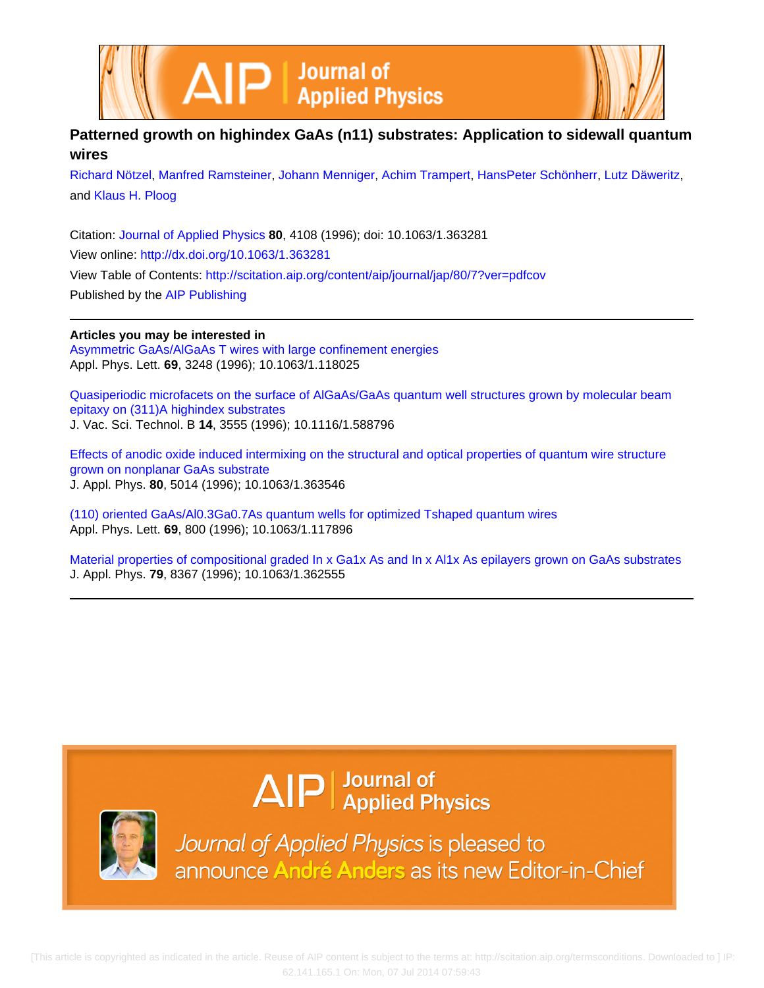



# **Patterned growth on highindex GaAs (n11) substrates: Application to sidewall quantum wires**

[Richard Nötzel,](http://scitation.aip.org/search?value1=Richard+N�tzel&option1=author) [Manfred Ramsteiner,](http://scitation.aip.org/search?value1=Manfred+Ramsteiner&option1=author) [Johann Menniger,](http://scitation.aip.org/search?value1=Johann+Menniger&option1=author) [Achim Trampert](http://scitation.aip.org/search?value1=Achim+Trampert&option1=author), [HansPeter Schönherr,](http://scitation.aip.org/search?value1=HansPeter+Sch�nherr&option1=author) [Lutz Däweritz](http://scitation.aip.org/search?value1=Lutz+D�weritz&option1=author), and [Klaus H. Ploog](http://scitation.aip.org/search?value1=Klaus+H.+Ploog&option1=author)

Citation: [Journal of Applied Physics](http://scitation.aip.org/content/aip/journal/jap?ver=pdfcov) **80**, 4108 (1996); doi: 10.1063/1.363281 View online: <http://dx.doi.org/10.1063/1.363281> View Table of Contents: <http://scitation.aip.org/content/aip/journal/jap/80/7?ver=pdfcov> Published by the [AIP Publishing](http://scitation.aip.org/content/aip?ver=pdfcov)

# **Articles you may be interested in**

[Asymmetric GaAs/AlGaAs T wires with large confinement energies](http://scitation.aip.org/content/aip/journal/apl/69/21/10.1063/1.118025?ver=pdfcov) Appl. Phys. Lett. **69**, 3248 (1996); 10.1063/1.118025

[Quasiperiodic microfacets on the surface of AlGaAs/GaAs quantum well structures grown by molecular beam](http://scitation.aip.org/content/avs/journal/jvstb/14/6/10.1116/1.588796?ver=pdfcov) [epitaxy on \(311\)A highindex substrates](http://scitation.aip.org/content/avs/journal/jvstb/14/6/10.1116/1.588796?ver=pdfcov) J. Vac. Sci. Technol. B **14**, 3555 (1996); 10.1116/1.588796

[Effects of anodic oxide induced intermixing on the structural and optical properties of quantum wire structure](http://scitation.aip.org/content/aip/journal/jap/80/9/10.1063/1.363546?ver=pdfcov) [grown on nonplanar GaAs substrate](http://scitation.aip.org/content/aip/journal/jap/80/9/10.1063/1.363546?ver=pdfcov) J. Appl. Phys. **80**, 5014 (1996); 10.1063/1.363546

[\(110\) oriented GaAs/Al0.3Ga0.7As quantum wells for optimized Tshaped quantum wires](http://scitation.aip.org/content/aip/journal/apl/69/6/10.1063/1.117896?ver=pdfcov) Appl. Phys. Lett. **69**, 800 (1996); 10.1063/1.117896

[Material properties of compositional graded In x Ga1x As and In x Al1x As epilayers grown on GaAs substrates](http://scitation.aip.org/content/aip/journal/jap/79/11/10.1063/1.362555?ver=pdfcov) J. Appl. Phys. **79**, 8367 (1996); 10.1063/1.362555

# $\Delta$   $\vert P \vert$  Journal of Applied Physics



Journal of Applied Physics is pleased to announce André Anders as its new Editor-in-Chief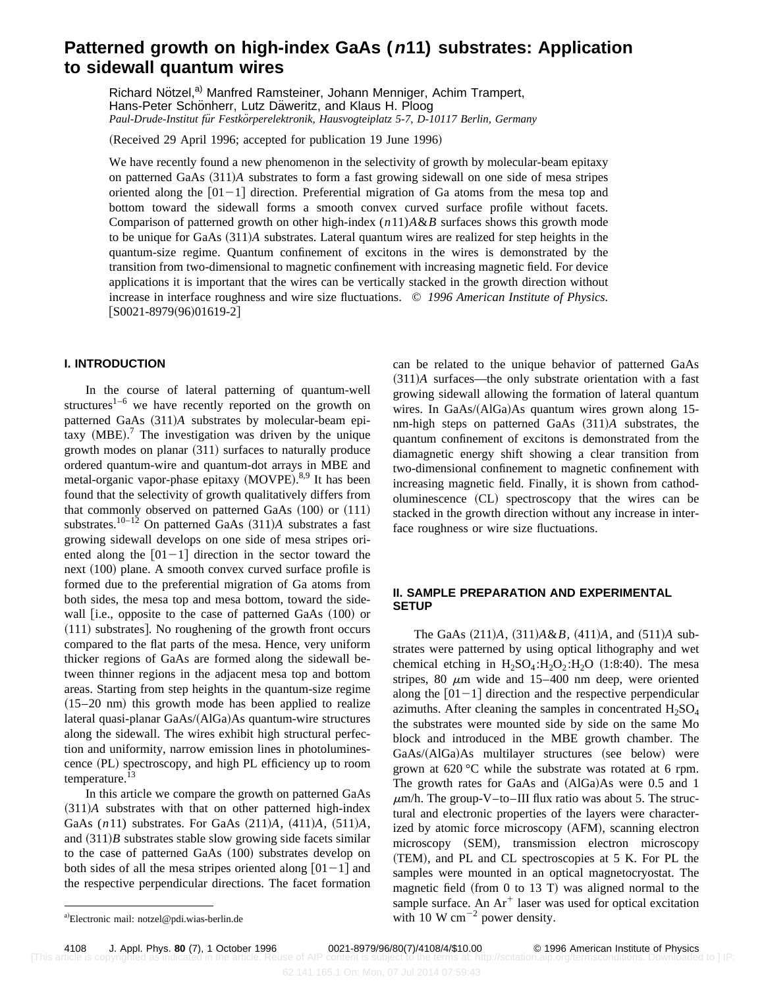# **Patterned growth on high-index GaAs (n11) substrates: Application to sidewall quantum wires**

Richard Nötzel,<sup>a)</sup> Manfred Ramsteiner, Johann Menniger, Achim Trampert, Hans-Peter Schönherr, Lutz Däweritz, and Klaus H. Ploog *Paul-Drude-Institut fu¨r Festko¨rperelektronik, Hausvogteiplatz 5-7, D-10117 Berlin, Germany*

(Received 29 April 1996; accepted for publication 19 June 1996)

We have recently found a new phenomenon in the selectivity of growth by molecular-beam epitaxy on patterned GaAs  $(311)A$  substrates to form a fast growing sidewall on one side of mesa stripes oriented along the  $[01-1]$  direction. Preferential migration of Ga atoms from the mesa top and bottom toward the sidewall forms a smooth convex curved surface profile without facets. Comparison of patterned growth on other high-index (*n*11)*A*&*B* surfaces shows this growth mode to be unique for GaAs (311)*A* substrates. Lateral quantum wires are realized for step heights in the quantum-size regime. Quantum confinement of excitons in the wires is demonstrated by the transition from two-dimensional to magnetic confinement with increasing magnetic field. For device applications it is important that the wires can be vertically stacked in the growth direction without increase in interface roughness and wire size fluctuations. © *1996 American Institute of Physics.*  $[50021-8979(96)01619-2]$ 

## **I. INTRODUCTION**

In the course of lateral patterning of quantum-well structures<sup>1–6</sup> we have recently reported on the growth on patterned GaAs  $(311)A$  substrates by molecular-beam epitaxy  $(MBE)$ .<sup>7</sup> The investigation was driven by the unique growth modes on planar  $(311)$  surfaces to naturally produce ordered quantum-wire and quantum-dot arrays in MBE and metal-organic vapor-phase epitaxy (MOVPE).<sup>8,9</sup> It has been found that the selectivity of growth qualitatively differs from that commonly observed on patterned GaAs  $(100)$  or  $(111)$ substrates.<sup>10–12</sup> On patterned GaAs  $(311)A$  substrates a fast growing sidewall develops on one side of mesa stripes oriented along the  $[01-1]$  direction in the sector toward the next  $(100)$  plane. A smooth convex curved surface profile is formed due to the preferential migration of Ga atoms from both sides, the mesa top and mesa bottom, toward the sidewall  $[$ i.e., opposite to the case of patterned GaAs  $(100)$  or  $(111)$  substrates]. No roughening of the growth front occurs compared to the flat parts of the mesa. Hence, very uniform thicker regions of GaAs are formed along the sidewall between thinner regions in the adjacent mesa top and bottom areas. Starting from step heights in the quantum-size regime  $(15–20 \text{ nm})$  this growth mode has been applied to realize lateral quasi-planar GaAs/(AlGa)As quantum-wire structures along the sidewall. The wires exhibit high structural perfection and uniformity, narrow emission lines in photoluminescence (PL) spectroscopy, and high PL efficiency up to room temperature. $13$ 

In this article we compare the growth on patterned GaAs  $(311)A$  substrates with that on other patterned high-index GaAs (n11) substrates. For GaAs (211)A, (411)A, (511)A, and  $(311)B$  substrates stable slow growing side facets similar to the case of patterned GaAs  $(100)$  substrates develop on both sides of all the mesa stripes oriented along  $[01-1]$  and the respective perpendicular directions. The facet formation can be related to the unique behavior of patterned GaAs  $(311)A$  surfaces—the only substrate orientation with a fast growing sidewall allowing the formation of lateral quantum wires. In GaAs/(AlGa)As quantum wires grown along 15nm-high steps on patterned GaAs  $(311)A$  substrates, the quantum confinement of excitons is demonstrated from the diamagnetic energy shift showing a clear transition from two-dimensional confinement to magnetic confinement with increasing magnetic field. Finally, it is shown from cathodoluminescence (CL) spectroscopy that the wires can be stacked in the growth direction without any increase in interface roughness or wire size fluctuations.

## **II. SAMPLE PREPARATION AND EXPERIMENTAL SETUP**

The GaAs  $(211)A$ ,  $(311)A\&B$ ,  $(411)A$ , and  $(511)A$  substrates were patterned by using optical lithography and wet chemical etching in  $H_2SO_4:H_2O_2:H_2O$  (1:8:40). The mesa stripes, 80  $\mu$ m wide and 15–400 nm deep, were oriented along the  $[01-1]$  direction and the respective perpendicular azimuths. After cleaning the samples in concentrated  $H_2SO_4$ the substrates were mounted side by side on the same Mo block and introduced in the MBE growth chamber. The GaAs/(AlGa)As multilayer structures (see below) were grown at 620 °C while the substrate was rotated at 6 rpm. The growth rates for GaAs and  $(AlGa)As$  were 0.5 and 1  $\mu$ m/h. The group-V–to–III flux ratio was about 5. The structural and electronic properties of the layers were characterized by atomic force microscopy (AFM), scanning electron microscopy (SEM), transmission electron microscopy (TEM), and PL and CL spectroscopies at 5 K. For PL the samples were mounted in an optical magnetocryostat. The magnetic field (from 0 to 13 T) was aligned normal to the sample surface. An  $Ar^+$  laser was used for optical excitation with 10 W  $cm^{-2}$  power density.

a)Electronic mail: notzel@pdi.wias-berlin.de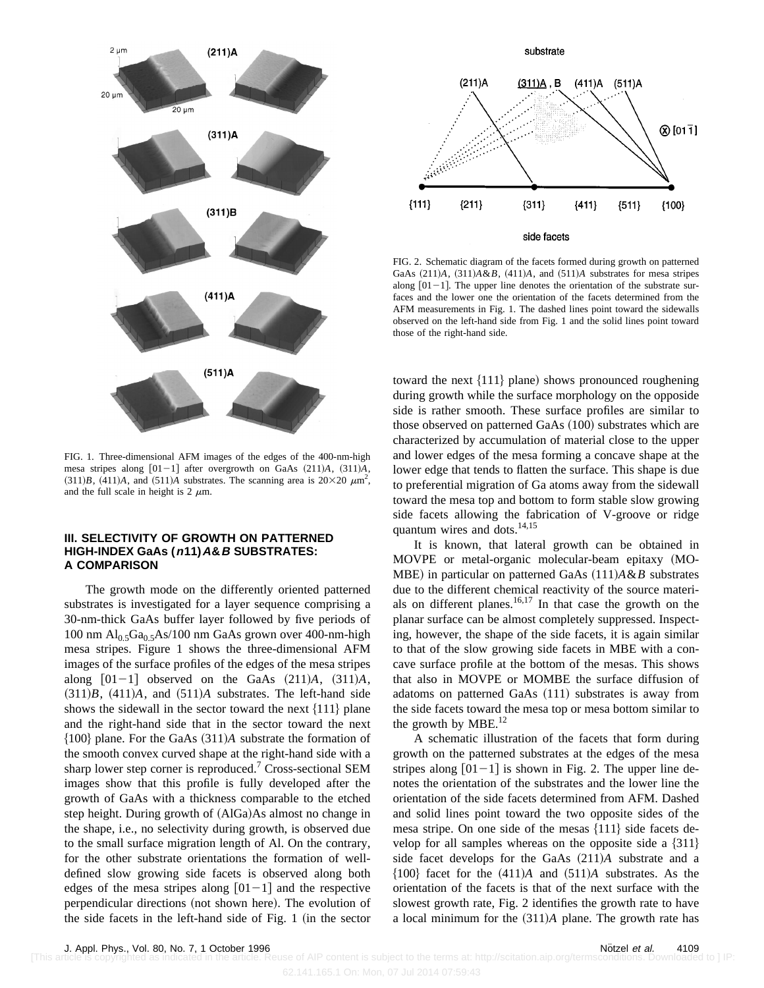

FIG. 1. Three-dimensional AFM images of the edges of the 400-nm-high mesa stripes along  $[01-1]$  after overgrowth on GaAs  $(211)A$ ,  $(311)A$ ,  $(311)B$ ,  $(411)A$ , and  $(511)A$  substrates. The scanning area is  $20\times20 \ \mu m^2$ , and the full scale in height is  $2 \mu m$ .

## **III. SELECTIVITY OF GROWTH ON PATTERNED HIGH-INDEX GaAs (n11)A&B SUBSTRATES: A COMPARISON**

The growth mode on the differently oriented patterned substrates is investigated for a layer sequence comprising a 30-nm-thick GaAs buffer layer followed by five periods of 100 nm  $Al_0$ ,  $Ga_0$ ,  $As/100$  nm GaAs grown over 400-nm-high mesa stripes. Figure 1 shows the three-dimensional AFM images of the surface profiles of the edges of the mesa stripes along  $[01-1]$  observed on the GaAs  $(211)A$ ,  $(311)A$ ,  $(311)B$ ,  $(411)A$ , and  $(511)A$  substrates. The left-hand side shows the sidewall in the sector toward the next  $\{111\}$  plane and the right-hand side that in the sector toward the next  ${100}$  plane. For the GaAs  $(311)A$  substrate the formation of the smooth convex curved shape at the right-hand side with a sharp lower step corner is reproduced.<sup>7</sup> Cross-sectional SEM images show that this profile is fully developed after the growth of GaAs with a thickness comparable to the etched step height. During growth of  $(AIGa)As$  almost no change in the shape, i.e., no selectivity during growth, is observed due to the small surface migration length of Al. On the contrary, for the other substrate orientations the formation of welldefined slow growing side facets is observed along both edges of the mesa stripes along  $|01-1|$  and the respective perpendicular directions (not shown here). The evolution of the side facets in the left-hand side of Fig.  $1$  (in the sector



FIG. 2. Schematic diagram of the facets formed during growth on patterned GaAs  $(211)A$ ,  $(311)A\&B$ ,  $(411)A$ , and  $(511)A$  substrates for mesa stripes along  $[01-1]$ . The upper line denotes the orientation of the substrate surfaces and the lower one the orientation of the facets determined from the AFM measurements in Fig. 1. The dashed lines point toward the sidewalls observed on the left-hand side from Fig. 1 and the solid lines point toward those of the right-hand side.

toward the next  $\{111\}$  plane) shows pronounced roughening during growth while the surface morphology on the opposide side is rather smooth. These surface profiles are similar to those observed on patterned GaAs  $(100)$  substrates which are characterized by accumulation of material close to the upper and lower edges of the mesa forming a concave shape at the lower edge that tends to flatten the surface. This shape is due to preferential migration of Ga atoms away from the sidewall toward the mesa top and bottom to form stable slow growing side facets allowing the fabrication of V-groove or ridge quantum wires and dots.<sup>14,15</sup>

It is known, that lateral growth can be obtained in MOVPE or metal-organic molecular-beam epitaxy (MO-MBE) in particular on patterned GaAs  $(111)A\&B$  substrates due to the different chemical reactivity of the source materials on different planes.<sup>16,17</sup> In that case the growth on the planar surface can be almost completely suppressed. Inspecting, however, the shape of the side facets, it is again similar to that of the slow growing side facets in MBE with a concave surface profile at the bottom of the mesas. This shows that also in MOVPE or MOMBE the surface diffusion of adatoms on patterned GaAs  $(111)$  substrates is away from the side facets toward the mesa top or mesa bottom similar to the growth by  $MBE.<sup>12</sup>$ 

A schematic illustration of the facets that form during growth on the patterned substrates at the edges of the mesa stripes along  $[01-1]$  is shown in Fig. 2. The upper line denotes the orientation of the substrates and the lower line the orientation of the side facets determined from AFM. Dashed and solid lines point toward the two opposite sides of the mesa stripe. On one side of the mesas  $\{111\}$  side facets develop for all samples whereas on the opposite side a  $\{311\}$ side facet develops for the GaAs  $(211)A$  substrate and a  ${100}$  facet for the  $(411)A$  and  $(511)A$  substrates. As the orientation of the facets is that of the next surface with the slowest growth rate, Fig. 2 identifies the growth rate to have a local minimum for the  $(311)A$  plane. The growth rate has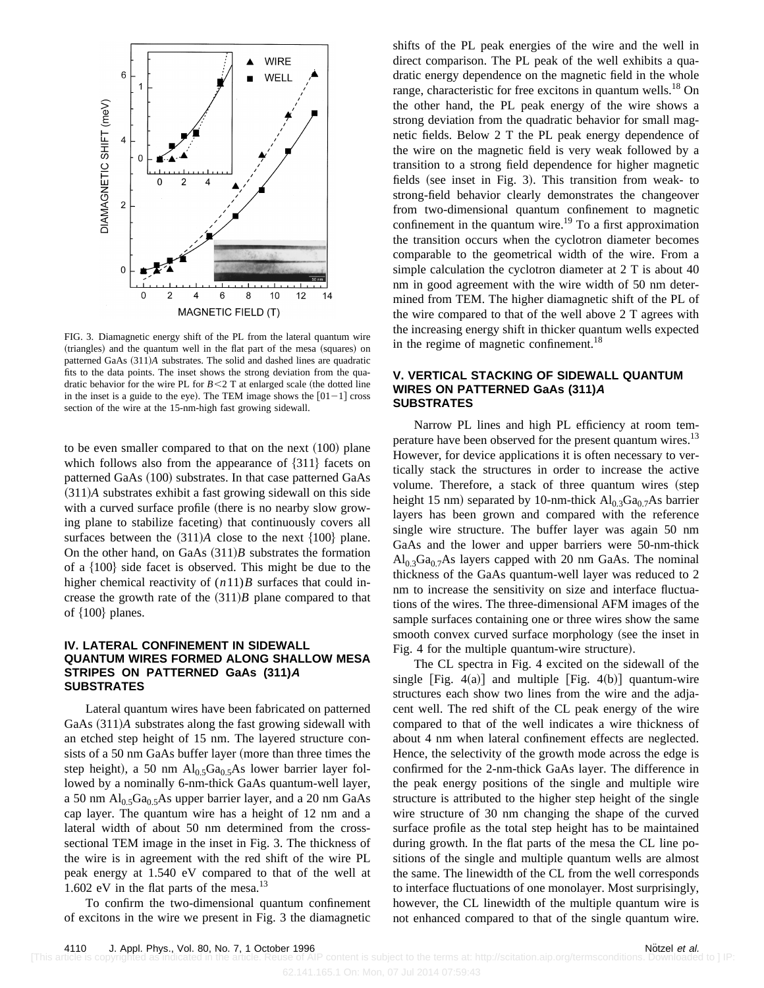

FIG. 3. Diamagnetic energy shift of the PL from the lateral quantum wire (triangles) and the quantum well in the flat part of the mesa (squares) on patterned GaAs  $(311)A$  substrates. The solid and dashed lines are quadratic fits to the data points. The inset shows the strong deviation from the quadratic behavior for the wire PL for  $B < 2$  T at enlarged scale (the dotted line in the inset is a guide to the eye). The TEM image shows the  $[01-1]$  cross section of the wire at the 15-nm-high fast growing sidewall.

to be even smaller compared to that on the next  $(100)$  plane which follows also from the appearance of  $\{311\}$  facets on patterned GaAs (100) substrates. In that case patterned GaAs  $(311)A$  substrates exhibit a fast growing sidewall on this side with a curved surface profile (there is no nearby slow growing plane to stabilize faceting) that continuously covers all surfaces between the  $(311)A$  close to the next  $\{100\}$  plane. On the other hand, on GaAs  $(311)B$  substrates the formation of a  $\{100\}$  side facet is observed. This might be due to the higher chemical reactivity of (*n*11)*B* surfaces that could increase the growth rate of the  $(311)B$  plane compared to that of  $\{100\}$  planes.

#### **IV. LATERAL CONFINEMENT IN SIDEWALL QUANTUM WIRES FORMED ALONG SHALLOW MESA STRIPES ON PATTERNED GaAs (311)A SUBSTRATES**

Lateral quantum wires have been fabricated on patterned GaAs  $(311)$ *A* substrates along the fast growing sidewall with an etched step height of 15 nm. The layered structure consists of a 50 nm GaAs buffer layer (more than three times the step height), a 50 nm  $Al<sub>0.5</sub>Ga<sub>0.5</sub>As lower barrier layer fol$ lowed by a nominally 6-nm-thick GaAs quantum-well layer, a 50 nm  $Al<sub>0.5</sub>Ga<sub>0.5</sub>As upper barrier layer, and a 20 nm GaAs$ cap layer. The quantum wire has a height of 12 nm and a lateral width of about 50 nm determined from the crosssectional TEM image in the inset in Fig. 3. The thickness of the wire is in agreement with the red shift of the wire PL peak energy at 1.540 eV compared to that of the well at 1.602 eV in the flat parts of the mesa.<sup>13</sup>

To confirm the two-dimensional quantum confinement of excitons in the wire we present in Fig. 3 the diamagnetic shifts of the PL peak energies of the wire and the well in direct comparison. The PL peak of the well exhibits a quadratic energy dependence on the magnetic field in the whole range, characteristic for free excitons in quantum wells.<sup>18</sup> On the other hand, the PL peak energy of the wire shows a strong deviation from the quadratic behavior for small magnetic fields. Below 2 T the PL peak energy dependence of the wire on the magnetic field is very weak followed by a transition to a strong field dependence for higher magnetic fields (see inset in Fig. 3). This transition from weak- to strong-field behavior clearly demonstrates the changeover from two-dimensional quantum confinement to magnetic confinement in the quantum wire.<sup>19</sup> To a first approximation the transition occurs when the cyclotron diameter becomes comparable to the geometrical width of the wire. From a simple calculation the cyclotron diameter at 2 T is about 40 nm in good agreement with the wire width of 50 nm determined from TEM. The higher diamagnetic shift of the PL of the wire compared to that of the well above 2 T agrees with the increasing energy shift in thicker quantum wells expected in the regime of magnetic confinement.<sup>18</sup>

#### **V. VERTICAL STACKING OF SIDEWALL QUANTUM WIRES ON PATTERNED GaAs (311)A SUBSTRATES**

Narrow PL lines and high PL efficiency at room temperature have been observed for the present quantum wires.<sup>13</sup> However, for device applications it is often necessary to vertically stack the structures in order to increase the active volume. Therefore, a stack of three quantum wires (step height 15 nm) separated by 10-nm-thick  $Al_{0.3}Ga_{0.7}As$  barrier layers has been grown and compared with the reference single wire structure. The buffer layer was again 50 nm GaAs and the lower and upper barriers were 50-nm-thick  $Al<sub>0.3</sub>Ga<sub>0.7</sub>As layers capped with 20 nm GaAs. The nominal$ thickness of the GaAs quantum-well layer was reduced to 2 nm to increase the sensitivity on size and interface fluctuations of the wires. The three-dimensional AFM images of the sample surfaces containing one or three wires show the same smooth convex curved surface morphology (see the inset in Fig. 4 for the multiple quantum-wire structure).

The CL spectra in Fig. 4 excited on the sidewall of the single [Fig.  $4(a)$ ] and multiple [Fig.  $4(b)$ ] quantum-wire structures each show two lines from the wire and the adjacent well. The red shift of the CL peak energy of the wire compared to that of the well indicates a wire thickness of about 4 nm when lateral confinement effects are neglected. Hence, the selectivity of the growth mode across the edge is confirmed for the 2-nm-thick GaAs layer. The difference in the peak energy positions of the single and multiple wire structure is attributed to the higher step height of the single wire structure of 30 nm changing the shape of the curved surface profile as the total step height has to be maintained during growth. In the flat parts of the mesa the CL line positions of the single and multiple quantum wells are almost the same. The linewidth of the CL from the well corresponds to interface fluctuations of one monolayer. Most surprisingly, however, the CL linewidth of the multiple quantum wire is not enhanced compared to that of the single quantum wire.